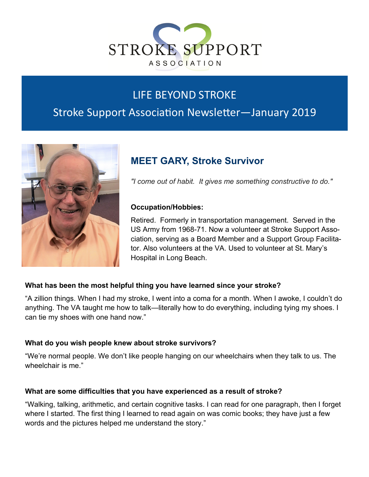

# LIFE BEYOND STROKE

# Stroke Support Association Newsletter—January 2019



# **MEET GARY, Stroke Survivor**

*"I come out of habit. It gives me something constructive to do."*

### **Occupation/Hobbies:**

Retired. Formerly in transportation management. Served in the US Army from 1968-71. Now a volunteer at Stroke Support Association, serving as a Board Member and a Support Group Facilitator. Also volunteers at the VA. Used to volunteer at St. Mary's Hospital in Long Beach.

### **What has been the most helpful thing you have learned since your stroke?**

"A zillion things. When I had my stroke, I went into a coma for a month. When I awoke, I couldn't do anything. The VA taught me how to talk—literally how to do everything, including tying my shoes. I can tie my shoes with one hand now."

### **What do you wish people knew about stroke survivors?**

"We're normal people. We don't like people hanging on our wheelchairs when they talk to us. The wheelchair is me."

### **What are some difficulties that you have experienced as a result of stroke?**

"Walking, talking, arithmetic, and certain cognitive tasks. I can read for one paragraph, then I forget where I started. The first thing I learned to read again on was comic books; they have just a few words and the pictures helped me understand the story."